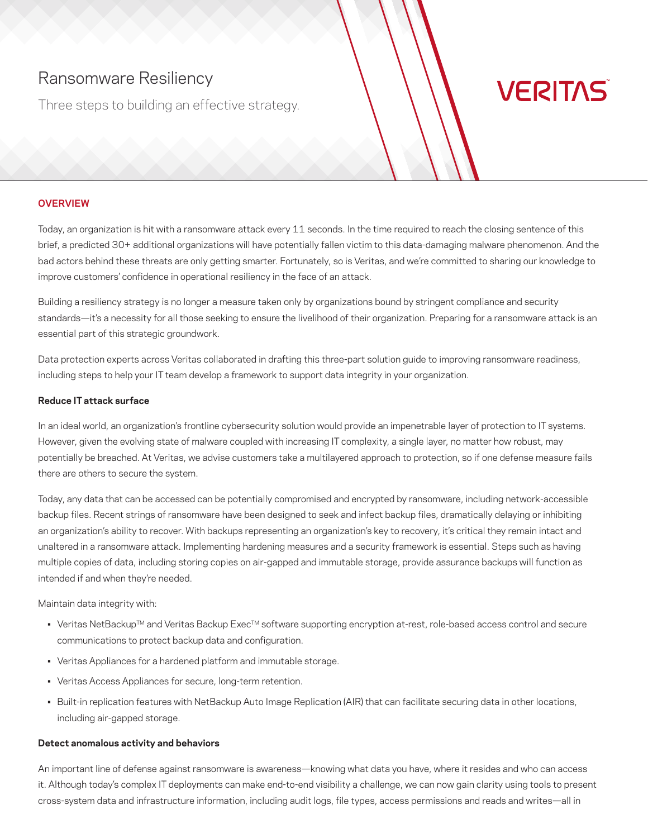# Ransomware Resiliency

Three steps to building an effective strategy.

# **VERITAS**

## **OVERVIEW**

Today, an organization is hit with a ransomware attack every 11 seconds. In the time required to reach the closing sentence of this brief, a predicted 30+ additional organizations will have potentially fallen victim to this data-damaging malware phenomenon. And the bad actors behind these threats are only getting smarter. Fortunately, so is Veritas, and we're committed to sharing our knowledge to improve customers' confidence in operational resiliency in the face of an attack.

Building a resiliency strategy is no longer a measure taken only by organizations bound by stringent compliance and security standards—it's a necessity for all those seeking to ensure the livelihood of their organization. Preparing for a ransomware attack is an essential part of this strategic groundwork.

Data protection experts across Veritas collaborated in drafting this three-part solution guide to improving ransomware readiness, including steps to help your IT team develop a framework to support data integrity in your organization.

#### **Reduce IT attack surface**

In an ideal world, an organization's frontline cybersecurity solution would provide an impenetrable layer of protection to IT systems. However, given the evolving state of malware coupled with increasing IT complexity, a single layer, no matter how robust, may potentially be breached. At Veritas, we advise customers take a multilayered approach to protection, so if one defense measure fails there are others to secure the system.

Today, any data that can be accessed can be potentially compromised and encrypted by ransomware, including network-accessible backup files. Recent strings of ransomware have been designed to seek and infect backup files, dramatically delaying or inhibiting an organization's ability to recover. With backups representing an organization's key to recovery, it's critical they remain intact and unaltered in a ransomware attack. Implementing hardening measures and a security framework is essential. Steps such as having multiple copies of data, including storing copies on air-gapped and immutable storage, provide assurance backups will function as intended if and when they're needed.

Maintain data integrity with:

- Veritas NetBackup™ and Veritas Backup Exec™ software supporting encryption at-rest, role-based access control and secure communications to protect backup data and configuration.
- Veritas Appliances for a hardened platform and immutable storage.
- Veritas Access Appliances for secure, long-term retention.
- Built-in replication features with NetBackup Auto Image Replication (AIR) that can facilitate securing data in other locations, including air-gapped storage.

#### **Detect anomalous activity and behaviors**

An important line of defense against ransomware is awareness—knowing what data you have, where it resides and who can access it. Although today's complex IT deployments can make end-to-end visibility a challenge, we can now gain clarity using tools to present cross-system data and infrastructure information, including audit logs, file types, access permissions and reads and writes—all in